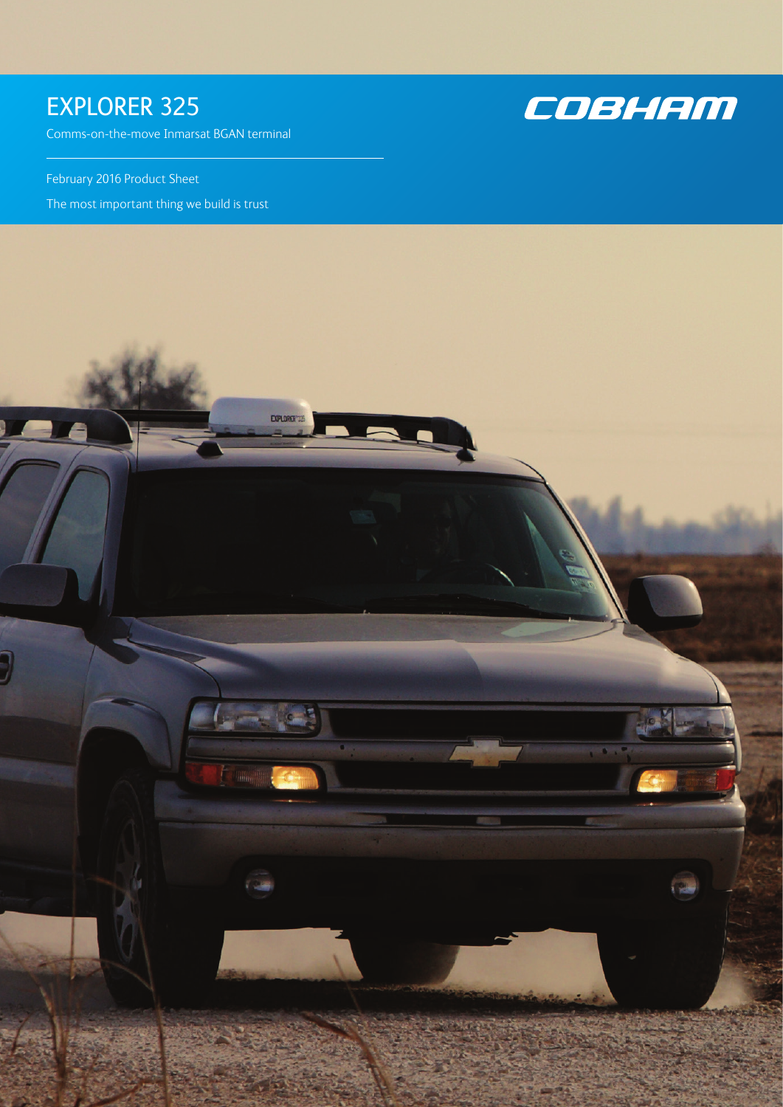## EXPLORER 325

Comms-on-the-move Inmarsat BGAN terminal

February 2016 Product Sheet

The most important thing we build is trust